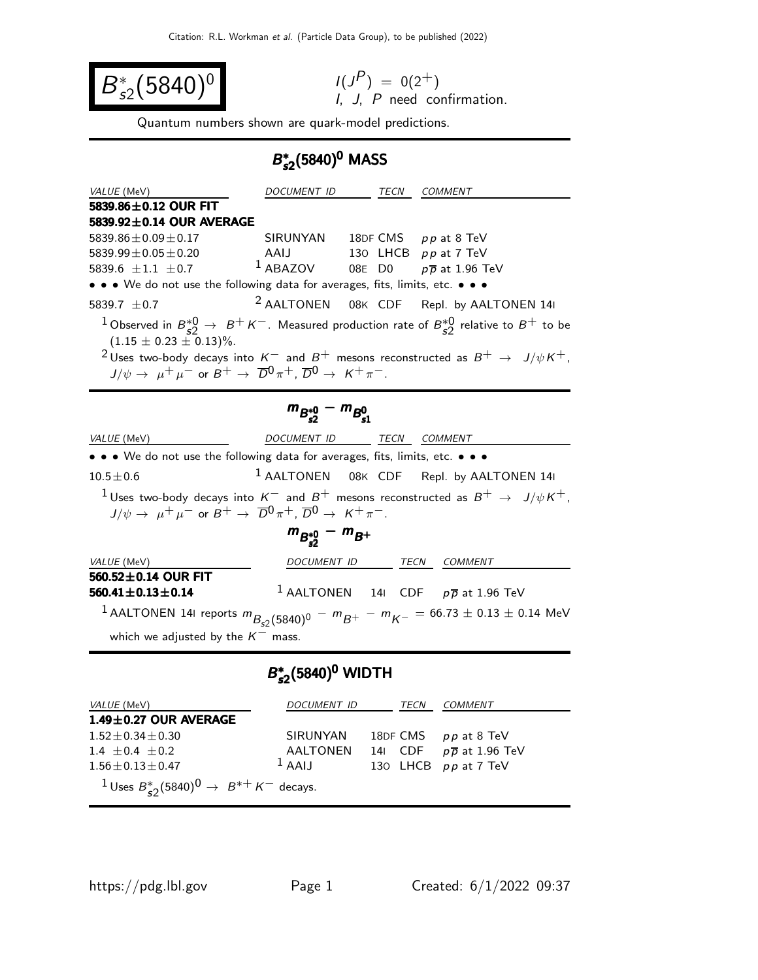$$
B_{s2}^*(5840)^0
$$

$$
I(JP) = 0(2+)
$$
  
*I*, *J*, *P* need confirmation.

Quantum numbers shown are quark-model predictions.

## B ∗  $B_{s2}^*(5840)^0$  MASS

| <i>VALUE</i> (MeV)                                                                                                                                      | DOCUMENT ID                                      | TECN | <b>COMMENT</b>                                                                                                                                                                                                                             |
|---------------------------------------------------------------------------------------------------------------------------------------------------------|--------------------------------------------------|------|--------------------------------------------------------------------------------------------------------------------------------------------------------------------------------------------------------------------------------------------|
| 5839.86 $\pm$ 0.12 OUR FIT                                                                                                                              |                                                  |      |                                                                                                                                                                                                                                            |
| 5839.92±0.14 OUR AVERAGE                                                                                                                                |                                                  |      |                                                                                                                                                                                                                                            |
| $5839.86 \pm 0.09 \pm 0.17$                                                                                                                             | SIRUNYAN 18DF CMS pp at 8 TeV                    |      |                                                                                                                                                                                                                                            |
| $5839.99 \pm 0.05 \pm 0.20$                                                                                                                             | AAIJ 130 LHCB pp at 7 TeV                        |      |                                                                                                                                                                                                                                            |
| 5839.6 $\pm 1.1 \pm 0.7$ 1 ABAZOV 08E D0 pp at 1.96 TeV                                                                                                 |                                                  |      |                                                                                                                                                                                                                                            |
| • • • We do not use the following data for averages, fits, limits, etc. • • •                                                                           |                                                  |      |                                                                                                                                                                                                                                            |
| 5839.7 $\pm$ 0.7                                                                                                                                        |                                                  |      | <sup>2</sup> AALTONEN 08K CDF Repl. by AALTONEN 14I                                                                                                                                                                                        |
| $(1.15 \pm 0.23 \pm 0.13)\%$ .<br>$J/\psi \rightarrow \mu^+ \mu^-$ or $B^+ \rightarrow \overline{D}^0 \pi^+$ , $\overline{D}^0 \rightarrow K^+ \pi^-$ . |                                                  |      | $1$ Observed in $B_{\leq 2}^{*0} \to B^+ K^-$ . Measured production rate of $B_{\leq 2}^{*0}$ relative to $B^+$ to be<br><sup>2</sup> Uses two-body decays into $K^-$ and $B^+$ mesons reconstructed as $B^+$ $\rightarrow$ $J/\psi K^+$ , |
|                                                                                                                                                         | $m_{B_{\epsilon 2}^{*0}} - m_{B_{\epsilon 1}^0}$ |      |                                                                                                                                                                                                                                            |
| VALUE (MeV)                                                                                                                                             | DOCUMENT ID                                      | TECN | <b>COMMENT</b>                                                                                                                                                                                                                             |
| • • • We do not use the following data for averages, fits, limits, etc. • • •                                                                           |                                                  |      |                                                                                                                                                                                                                                            |

 $10.5 \pm 0.6$ 1 AALTONEN 08<sup>K</sup> CDF Repl. by AALTONEN 14<sup>I</sup> <sup>1</sup>Uses two-body decays into  $K^-$  and  $B^+$  mesons reconstructed as  $B^+$  →  $J/\psi K^+$ ,  $J/\psi \rightarrow \mu^+ \mu^-$  or  $B^+ \rightarrow \overline{D}^0 \pi^+$ ,  $\overline{D}^0 \rightarrow K^+ \pi^-$ .

$$
m_{B_{s2}^{*0}}-m_{B^+}
$$

| <i>VALUE</i> (MeV)                                                                                  | DOCUMENT ID | TECN | COMMENT                                                   |
|-----------------------------------------------------------------------------------------------------|-------------|------|-----------------------------------------------------------|
| 560.52 $\pm$ 0.14 OUR FIT                                                                           |             |      |                                                           |
| $560.41 \pm 0.13 \pm 0.14$                                                                          |             |      | <sup>1</sup> AALTONEN 141 CDF $p\overline{p}$ at 1.96 TeV |
| $^{-1}$ AALTONEN 141 reports $m_{B_{c2}(5840)^0} - m_{B^+} - m_{K^-} = 66.73 \pm 0.13 \pm 0.14$ MeV |             |      |                                                           |
| which we adjusted by the $K^-$ mass.                                                                |             |      |                                                           |

## B ∗  $B_{s2}^*(5840)^0$  WIDTH

| <i>VALUE</i> (MeV)                                                | DOCUMENT ID | TECN    | COMMENT                     |
|-------------------------------------------------------------------|-------------|---------|-----------------------------|
| $1.49 \pm 0.27$ OUR AVERAGE                                       |             |         |                             |
| $1.52 + 0.34 + 0.30$                                              | SIRUNYAN    |         | 18DF CMS pp at 8 TeV        |
| $1.4 + 0.4 + 0.2$                                                 | AALTONEN    | 141 CDF | $p\overline{p}$ at 1.96 TeV |
| $1.56 + 0.13 + 0.47$                                              | $1$ AAIJ    |         | 130 LHCB pp at 7 TeV        |
| $1 \text{ Uses } B_{52}^*(5840)^0 \rightarrow B^{*+} K^-$ decays. |             |         |                             |